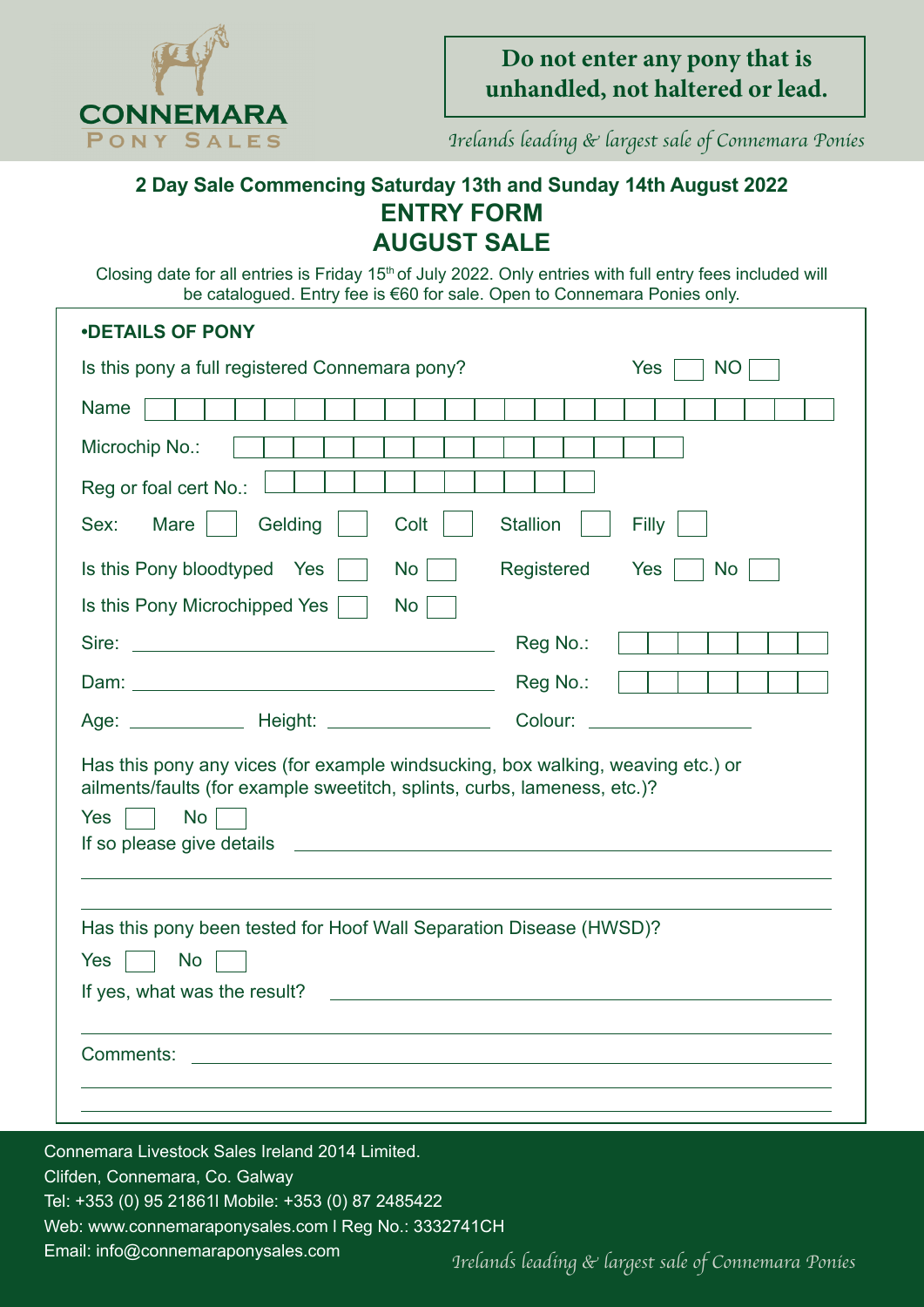

Irelands leading & largest sale of Connemara Ponies

## **2 Day Sale Commencing Saturday 13th and Sunday 14th August 2022 ENTRY FORM ENTRY FORM AUGUST SALE**

Closing date for all entries is Friday 15<sup>th</sup> of July 2022. Only entries with full entry fees included will be catalogued. Entry fee is €60 for sale. Open to Connemara Ponies only. be catalogued. Entry fee is €60 for sale. Open to Connemara Ponies only.

| <b>.DETAILS OF PONY</b>                                                                                                                                                         |                          |
|---------------------------------------------------------------------------------------------------------------------------------------------------------------------------------|--------------------------|
| Is this pony a full registered Connemara pony?                                                                                                                                  | Yes<br>NO <sub>1</sub>   |
| <b>Name</b>                                                                                                                                                                     |                          |
| Microchip No.:                                                                                                                                                                  |                          |
| Reg or foal cert No.:                                                                                                                                                           |                          |
| Mare<br>Gelding<br>Colt<br>Sex:                                                                                                                                                 | <b>Stallion</b><br>Filly |
| Is this Pony bloodtyped Yes<br>No <sub>1</sub><br>Is this Pony Microchipped Yes  <br>$\mathsf{No}$                                                                              | Registered<br>Yes<br>No  |
|                                                                                                                                                                                 | Reg No.:                 |
|                                                                                                                                                                                 | Reg No.:                 |
| Age: _________________ Height: ________________________                                                                                                                         |                          |
| Has this pony any vices (for example windsucking, box walking, weaving etc.) or<br>ailments/faults (for example sweetitch, splints, curbs, lameness, etc.)?<br>Yes<br><b>No</b> |                          |
| Has this pony been tested for Hoof Wall Separation Disease (HWSD)?<br>No<br>Yes<br>If yes, what was the result?                                                                 |                          |
| Comments:                                                                                                                                                                       |                          |
|                                                                                                                                                                                 |                          |

Clifden, Connemara, Co. Galway Clifden, Connemara, Co. Galway Tel: +353 (0) 95 21861l Mobile: +353 (0) 87 2485422 Tel: +353 (0) 95 21861l Mobile: +353 (0) 87 2485422 Web: www.connemaraponysales.com l Reg No.: 3332741CH Web: www.connemaraponysales.com l Reg No.: 3332741CH Email: info@connemaraponysales.com *Irelands leading & largest sale of Connemara Ponies*